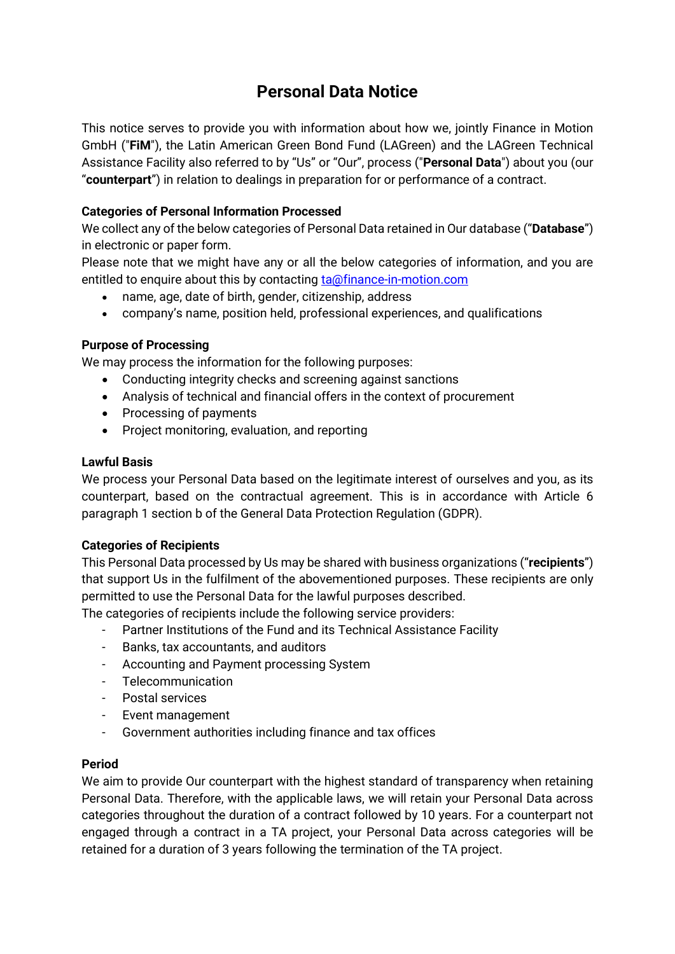# **Personal Data Notice**

This notice serves to provide you with information about how we, jointly Finance in Motion GmbH ("**FiM**"), the Latin American Green Bond Fund (LAGreen) and the LAGreen Technical Assistance Facility also referred to by "Us" or "Our", process ("**Personal Data**") about you (our "**counterpart**") in relation to dealings in preparation for or performance of a contract.

# **Categories of Personal Information Processed**

We collect any of the below categories of Personal Data retained in Our database ("**Database**") in electronic or paper form.

Please note that we might have any or all the below categories of information, and you are entitled to enquire about this by contacting [ta@finance-in-motion.com](mailto:ta@finance-in-motion.com)

- name, age, date of birth, gender, citizenship, address
- company's name, position held, professional experiences, and qualifications

## **Purpose of Processing**

We may process the information for the following purposes:

- Conducting integrity checks and screening against sanctions
- Analysis of technical and financial offers in the context of procurement
- Processing of payments
- Project monitoring, evaluation, and reporting

#### **Lawful Basis**

We process your Personal Data based on the legitimate interest of ourselves and you, as its counterpart, based on the contractual agreement. This is in accordance with Article 6 paragraph 1 section b of the General Data Protection Regulation (GDPR).

## **Categories of Recipients**

This Personal Data processed by Us may be shared with business organizations ("**recipients**") that support Us in the fulfilment of the abovementioned purposes. These recipients are only permitted to use the Personal Data for the lawful purposes described.

The categories of recipients include the following service providers:

- Partner Institutions of the Fund and its Technical Assistance Facility
- Banks, tax accountants, and auditors
- Accounting and Payment processing System
- Telecommunication
- Postal services
- Event management
- Government authorities including finance and tax offices

## **Period**

We aim to provide Our counterpart with the highest standard of transparency when retaining Personal Data. Therefore, with the applicable laws, we will retain your Personal Data across categories throughout the duration of a contract followed by 10 years. For a counterpart not engaged through a contract in a TA project, your Personal Data across categories will be retained for a duration of 3 years following the termination of the TA project.